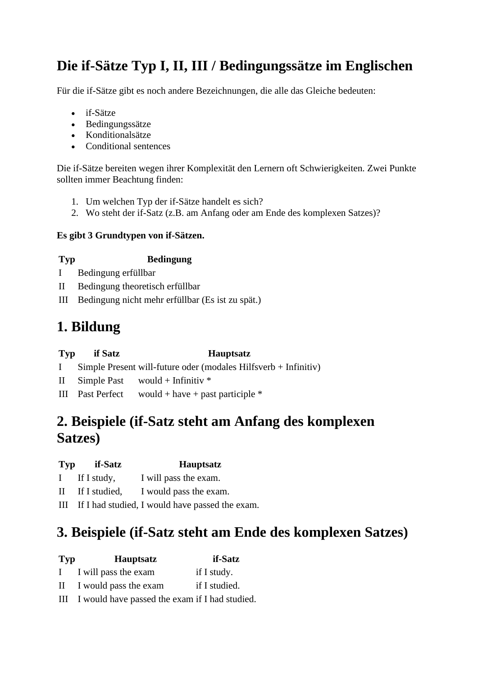# **Die if-Sätze Typ I, II, III / Bedingungssätze im Englischen**

Für die if-Sätze gibt es noch andere Bezeichnungen, die alle das Gleiche bedeuten:

- if-Sätze
- Bedingungssätze
- Konditionalsätze
- Conditional sentences

Die if-Sätze bereiten wegen ihrer Komplexität den Lernern oft Schwierigkeiten. Zwei Punkte sollten immer Beachtung finden:

- 1. Um welchen Typ der if-Sätze handelt es sich?
- 2. Wo steht der if-Satz (z.B. am Anfang oder am Ende des komplexen Satzes)?

#### **Es gibt 3 Grundtypen von if-Sätzen.**

#### **Typ Bedingung**

- I Bedingung erfüllbar
- II Bedingung theoretisch erfüllbar
- III Bedingung nicht mehr erfüllbar (Es ist zu spät.)

# **1. Bildung**

| Typ if Satz | <b>Hauptsatz</b>                                                  |
|-------------|-------------------------------------------------------------------|
|             | I Simple Present will-future oder (modales Hilfsverb + Infinitiv) |
|             | II Simple Past would + Infinitiv $*$                              |

III Past Perfect would + have + past participle  $*$ 

### **2. Beispiele (if-Satz steht am Anfang des komplexen Satzes)**

- **Typ if-Satz Hauptsatz**
- I If I study, I will pass the exam.
- II If I studied, I would pass the exam.
- III If I had studied, I would have passed the exam.

# **3. Beispiele (if-Satz steht am Ende des komplexen Satzes)**

| <b>Typ</b>   | <b>Hauptsatz</b>                                   | if-Satz       |
|--------------|----------------------------------------------------|---------------|
| $\mathbf{I}$ | I will pass the exam                               | if I study.   |
| $\mathbf{I}$ | I would pass the exam                              | if I studied. |
|              | III I would have passed the exam if I had studied. |               |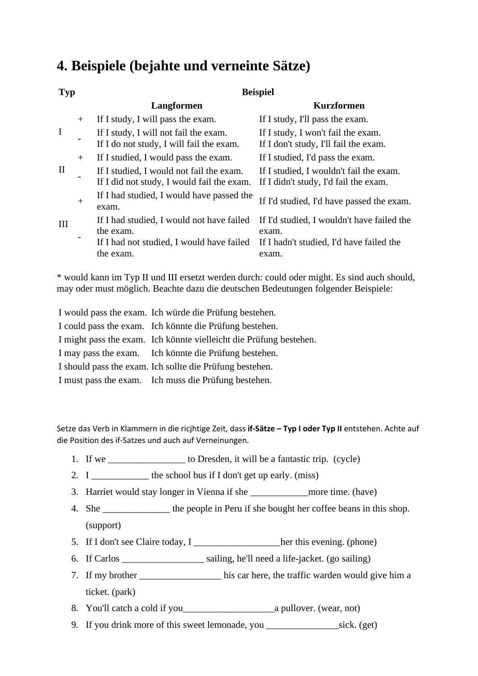#### **4. Beispiele (bejahte und verneinte Sätze)**

| <b>Typ</b>             |        | <b>Beispiel</b>                                                                        |                                                                                  |  |
|------------------------|--------|----------------------------------------------------------------------------------------|----------------------------------------------------------------------------------|--|
|                        |        | Langformen                                                                             | <b>Kurzformen</b>                                                                |  |
|                        | $+$    | If I study, I will pass the exam.                                                      | If I study, I'll pass the exam.                                                  |  |
| $\bf{I}$               |        | If I study, I will not fail the exam.<br>If I do not study, I will fail the exam.      | If I study, I won't fail the exam.<br>If I don't study, I'll fail the exam.      |  |
| $^{+}$<br>$\mathbf{I}$ |        | If I studied, I would pass the exam.                                                   | If I studied, I'd pass the exam.                                                 |  |
|                        |        | If I studied, I would not fail the exam.<br>If I did not study, I would fail the exam. | If I studied, I wouldn't fail the exam.<br>If I didn't study, I'd fail the exam. |  |
| III                    | $^{+}$ | If I had studied, I would have passed the<br>exam.                                     | If I'd studied, I'd have passed the exam.                                        |  |
|                        |        | If I had studied, I would not have failed<br>the exam.                                 | If I'd studied, I wouldn't have failed the<br>exam.                              |  |
|                        |        | If I had not studied, I would have failed<br>the exam.                                 | If I hadn't studied, I'd have failed the<br>exam.                                |  |

\* would kann im Typ II und III ersetzt werden durch: could oder might. Es sind auch should, may oder must möglich. Beachte dazu die deutschen Bedeutungen folgender Beispiele:

| I would pass the exam. Ich würde die Prüfung bestehen.             |
|--------------------------------------------------------------------|
| I could pass the exam. Ich könnte die Prüfung bestehen.            |
| I might pass the exam. Ich könnte vielleicht die Prüfung bestehen. |
| I may pass the exam. Ich könnte die Prüfung bestehen.              |
| I should pass the exam. Ich sollte die Prüfung bestehen.           |
| I must pass the exam. Ich muss die Prüfung bestehen.               |

Setze das Verb in Klammern in die ricjhtige Zeit, dass **if-Sätze – Typ I oder Typ II** entstehen. Achte auf die Position des if-Satzes und auch auf Verneinungen.

- 1. If we \_\_\_\_\_\_\_\_\_\_\_\_\_\_\_\_ to Dresden, it will be a fantastic trip. (cycle)
- 2.  $I \_$  the school bus if I don't get up early. (miss)
- 3. Harriet would stay longer in Vienna if she \_\_\_\_\_\_\_\_\_\_\_\_more time. (have)
- 4. She the people in Peru if she bought her coffee beans in this shop. (support)
- 5. If I don't see Claire today, I \_\_\_\_\_\_\_\_\_\_\_\_\_\_\_\_\_her this evening. (phone)
- 6. If Carlos \_\_\_\_\_\_\_\_\_\_\_\_\_\_\_\_\_ sailing, he'll need a life-jacket. (go sailing)
- 7. If my brother \_\_\_\_\_\_\_\_\_\_\_\_\_\_\_\_\_ his car here, the traffic warden would give him a ticket. (park)
- 8. You'll catch a cold if you\_\_\_\_\_\_\_\_\_\_\_\_\_\_\_\_\_\_\_a pullover. (wear, not)
- 9. If you drink more of this sweet lemonade, you \_\_\_\_\_\_\_\_\_\_\_\_\_\_\_sick. (get)